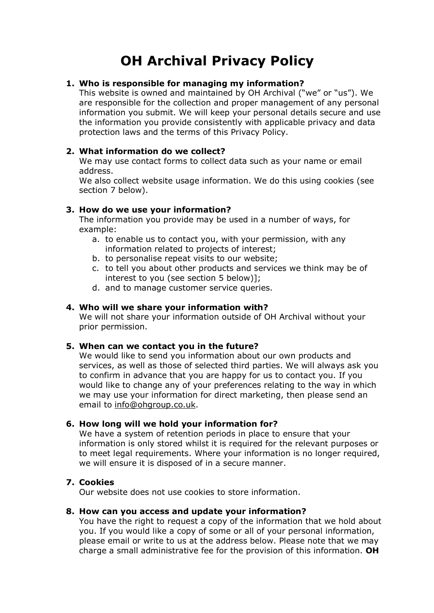# **OH Archival Privacy Policy**

# **1. Who is responsible for managing my information?**

This website is owned and maintained by OH Archival ("we" or "us"). We are responsible for the collection and proper management of any personal information you submit. We will keep your personal details secure and use the information you provide consistently with applicable privacy and data protection laws and the terms of this Privacy Policy.

### **2. What information do we collect?**

We may use contact forms to collect data such as your name or email address.

We also collect website usage information. We do this using cookies (see section 7 below).

## **3. How do we use your information?**

The information you provide may be used in a number of ways, for example:

- a. to enable us to contact you, with your permission, with any information related to projects of interest;
- b. to personalise repeat visits to our website;
- c. to tell you about other products and services we think may be of interest to you (see section 5 below)];
- d. and to manage customer service queries.

## **4. Who will we share your information with?**

We will not share your information outside of OH Archival without your prior permission.

#### **5. When can we contact you in the future?**

We would like to send you information about our own products and services, as well as those of selected third parties. We will always ask you to confirm in advance that you are happy for us to contact you. If you would like to change any of your preferences relating to the way in which we may use your information for direct marketing, then please send an email to info@ohgroup.co.uk.

#### **6. How long will we hold your information for?**

We have a system of retention periods in place to ensure that your information is only stored whilst it is required for the relevant purposes or to meet legal requirements. Where your information is no longer required, we will ensure it is disposed of in a secure manner.

# **7. Cookies**

Our website does not use cookies to store information.

#### **8. How can you access and update your information?**

You have the right to request a copy of the information that we hold about you. If you would like a copy of some or all of your personal information, please email or write to us at the address below. Please note that we may charge a small administrative fee for the provision of this information. **OH**